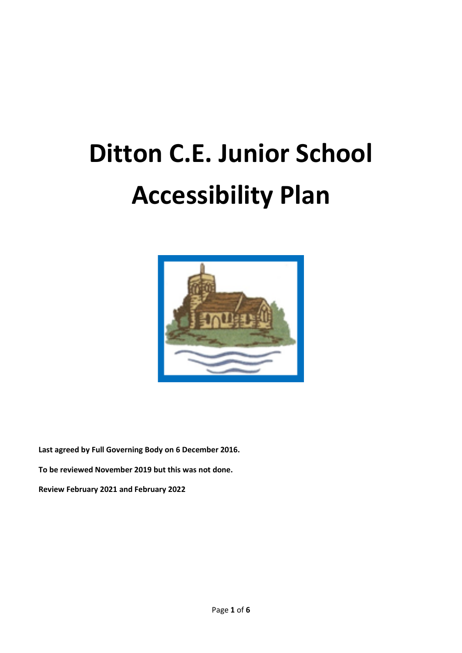# **Ditton C.E. Junior School Accessibility Plan**



**Last agreed by Full Governing Body on 6 December 2016. To be reviewed November 2019 but this was not done. Review February 2021 and February 2022**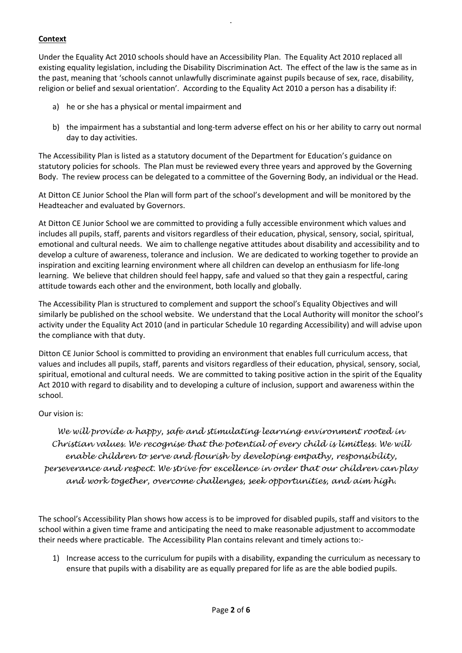# **Context**

Under the Equality Act 2010 schools should have an Accessibility Plan. The Equality Act 2010 replaced all existing equality legislation, including the Disability Discrimination Act. The effect of the law is the same as in the past, meaning that 'schools cannot unlawfully discriminate against pupils because of sex, race, disability, religion or belief and sexual orientation'. According to the Equality Act 2010 a person has a disability if:

.

- a) he or she has a physical or mental impairment and
- b) the impairment has a substantial and long-term adverse effect on his or her ability to carry out normal day to day activities.

The Accessibility Plan is listed as a statutory document of the Department for Education's guidance on statutory policies for schools. The Plan must be reviewed every three years and approved by the Governing Body. The review process can be delegated to a committee of the Governing Body, an individual or the Head.

At Ditton CE Junior School the Plan will form part of the school's development and will be monitored by the Headteacher and evaluated by Governors.

At Ditton CE Junior School we are committed to providing a fully accessible environment which values and includes all pupils, staff, parents and visitors regardless of their education, physical, sensory, social, spiritual, emotional and cultural needs. We aim to challenge negative attitudes about disability and accessibility and to develop a culture of awareness, tolerance and inclusion. We are dedicated to working together to provide an inspiration and exciting learning environment where all children can develop an enthusiasm for life-long learning. We believe that children should feel happy, safe and valued so that they gain a respectful, caring attitude towards each other and the environment, both locally and globally.

The Accessibility Plan is structured to complement and support the school's Equality Objectives and will similarly be published on the school website. We understand that the Local Authority will monitor the school's activity under the Equality Act 2010 (and in particular Schedule 10 regarding Accessibility) and will advise upon the compliance with that duty.

Ditton CE Junior School is committed to providing an environment that enables full curriculum access, that values and includes all pupils, staff, parents and visitors regardless of their education, physical, sensory, social, spiritual, emotional and cultural needs. We are committed to taking positive action in the spirit of the Equality Act 2010 with regard to disability and to developing a culture of inclusion, support and awareness within the school.

### Our vision is:

*We will provide a happy, safe and stimulating learning environment rooted in Christian values. We recognise that the potential of every child is limitless. We will enable children to serve and flourish by developing empathy, responsibility, perseverance and respect. We strive for excellence in order that our children can play and work together, overcome challenges, seek opportunities, and aim high.* 

The school's Accessibility Plan shows how access is to be improved for disabled pupils, staff and visitors to the school within a given time frame and anticipating the need to make reasonable adjustment to accommodate their needs where practicable. The Accessibility Plan contains relevant and timely actions to:-

1) Increase access to the curriculum for pupils with a disability, expanding the curriculum as necessary to ensure that pupils with a disability are as equally prepared for life as are the able bodied pupils.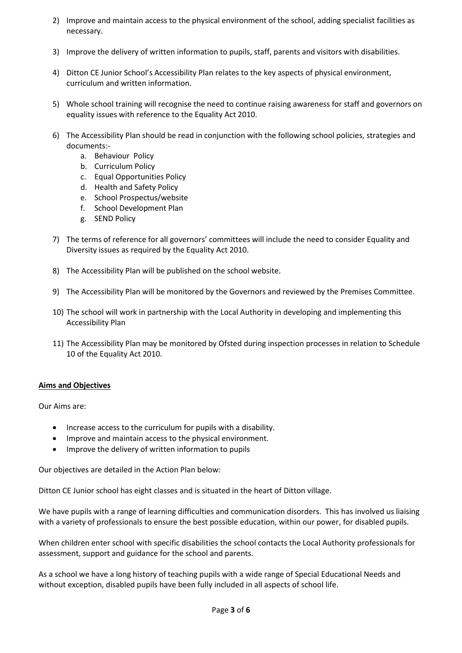- 2) Improve and maintain access to the physical environment of the school, adding specialist facilities as necessary.
- 3) Improve the delivery of written information to pupils, staff, parents and visitors with disabilities.
- 4) Ditton CE Junior School's Accessibility Plan relates to the key aspects of physical environment, curriculum and written information.
- 5) Whole school training will recognise the need to continue raising awareness for staff and governors on equality issues with reference to the Equality Act 2010.
- 6) The Accessibility Plan should be read in conjunction with the following school policies, strategies and documents:
	- a. Behaviour Policy
	- b. Curriculum Policy
	- c. Equal Opportunities Policy
	- d. Health and Safety Policy
	- e. School Prospectus/website
	- f. School Development Plan
	- g. SEND Policy
- 7) The terms of reference for all governors' committees will include the need to consider Equality and Diversity issues as required by the Equality Act 2010.
- 8) The Accessibility Plan will be published on the school website.
- 9) The Accessibility Plan will be monitored by the Governors and reviewed by the Premises Committee.
- 10) The school will work in partnership with the Local Authority in developing and implementing this Accessibility Plan
- 11) The Accessibility Plan may be monitored by Ofsted during inspection processes in relation to Schedule 10 of the Equality Act 2010.

#### **Aims and Objectives**

Our Aims are:

- Increase access to the curriculum for pupils with a disability.
- Improve and maintain access to the physical environment.
- Improve the delivery of written information to pupils

Our objectives are detailed in the Action Plan below:

Ditton CE Junior school has eight classes and is situated in the heart of Ditton village.

We have pupils with a range of learning difficulties and communication disorders. This has involved us liaising with a variety of professionals to ensure the best possible education, within our power, for disabled pupils.

When children enter school with specific disabilities the school contacts the Local Authority professionals for assessment, support and guidance for the school and parents.

As a school we have a long history of teaching pupils with a wide range of Special Educational Needs and without exception, disabled pupils have been fully included in all aspects of school life.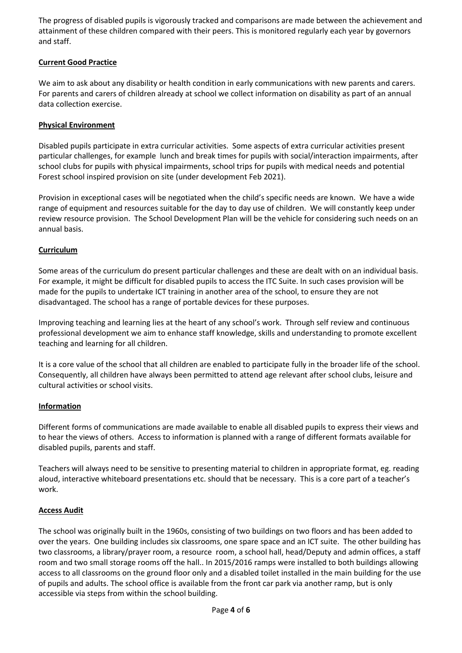The progress of disabled pupils is vigorously tracked and comparisons are made between the achievement and attainment of these children compared with their peers. This is monitored regularly each year by governors and staff.

# **Current Good Practice**

We aim to ask about any disability or health condition in early communications with new parents and carers. For parents and carers of children already at school we collect information on disability as part of an annual data collection exercise.

## **Physical Environment**

Disabled pupils participate in extra curricular activities. Some aspects of extra curricular activities present particular challenges, for example lunch and break times for pupils with social/interaction impairments, after school clubs for pupils with physical impairments, school trips for pupils with medical needs and potential Forest school inspired provision on site (under development Feb 2021).

Provision in exceptional cases will be negotiated when the child's specific needs are known. We have a wide range of equipment and resources suitable for the day to day use of children. We will constantly keep under review resource provision. The School Development Plan will be the vehicle for considering such needs on an annual basis.

# **Curriculum**

Some areas of the curriculum do present particular challenges and these are dealt with on an individual basis. For example, it might be difficult for disabled pupils to access the ITC Suite. In such cases provision will be made for the pupils to undertake ICT training in another area of the school, to ensure they are not disadvantaged. The school has a range of portable devices for these purposes.

Improving teaching and learning lies at the heart of any school's work. Through self review and continuous professional development we aim to enhance staff knowledge, skills and understanding to promote excellent teaching and learning for all children.

It is a core value of the school that all children are enabled to participate fully in the broader life of the school. Consequently, all children have always been permitted to attend age relevant after school clubs, leisure and cultural activities or school visits.

### **Information**

Different forms of communications are made available to enable all disabled pupils to express their views and to hear the views of others. Access to information is planned with a range of different formats available for disabled pupils, parents and staff.

Teachers will always need to be sensitive to presenting material to children in appropriate format, eg. reading aloud, interactive whiteboard presentations etc. should that be necessary. This is a core part of a teacher's work.

### **Access Audit**

The school was originally built in the 1960s, consisting of two buildings on two floors and has been added to over the years. One building includes six classrooms, one spare space and an ICT suite. The other building has two classrooms, a library/prayer room, a resource room, a school hall, head/Deputy and admin offices, a staff room and two small storage rooms off the hall.. In 2015/2016 ramps were installed to both buildings allowing access to all classrooms on the ground floor only and a disabled toilet installed in the main building for the use of pupils and adults. The school office is available from the front car park via another ramp, but is only accessible via steps from within the school building.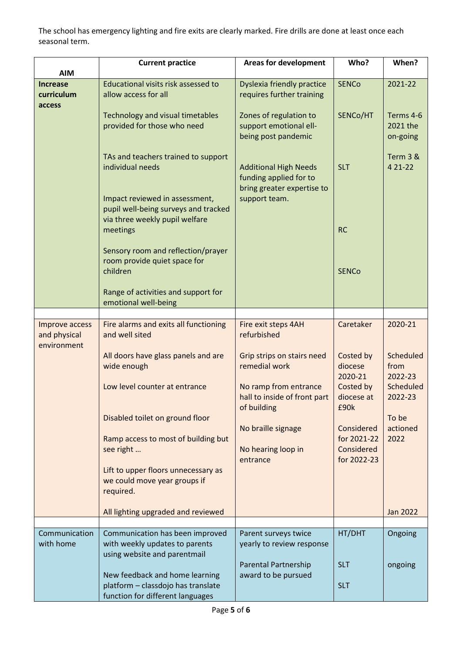The school has emergency lighting and fire exits are clearly marked. Fire drills are done at least once each seasonal term.

|                 | <b>Current practice</b>                                                | <b>Areas for development</b>                          | Who?                    | When?                |
|-----------------|------------------------------------------------------------------------|-------------------------------------------------------|-------------------------|----------------------|
| <b>AIM</b>      |                                                                        |                                                       |                         |                      |
| <b>Increase</b> | Educational visits risk assessed to                                    | <b>Dyslexia friendly practice</b>                     | <b>SENCo</b>            | 2021-22              |
| curriculum      | allow access for all                                                   | requires further training                             |                         |                      |
| access          |                                                                        |                                                       |                         |                      |
|                 | <b>Technology and visual timetables</b>                                | Zones of regulation to                                | SENCo/HT                | Terms 4-6            |
|                 | provided for those who need                                            | support emotional ell-                                |                         | 2021 the             |
|                 |                                                                        | being post pandemic                                   |                         | on-going             |
|                 |                                                                        |                                                       |                         |                      |
|                 | TAs and teachers trained to support                                    |                                                       |                         | Term 3 &             |
|                 | individual needs                                                       | <b>Additional High Needs</b>                          | <b>SLT</b>              | 4 21 - 22            |
|                 |                                                                        | funding applied for to                                |                         |                      |
|                 |                                                                        | bring greater expertise to                            |                         |                      |
|                 | Impact reviewed in assessment,<br>pupil well-being surveys and tracked | support team.                                         |                         |                      |
|                 | via three weekly pupil welfare                                         |                                                       |                         |                      |
|                 | meetings                                                               |                                                       | <b>RC</b>               |                      |
|                 |                                                                        |                                                       |                         |                      |
|                 | Sensory room and reflection/prayer                                     |                                                       |                         |                      |
|                 | room provide quiet space for                                           |                                                       |                         |                      |
|                 | children                                                               |                                                       | <b>SENCo</b>            |                      |
|                 |                                                                        |                                                       |                         |                      |
|                 | Range of activities and support for                                    |                                                       |                         |                      |
|                 | emotional well-being                                                   |                                                       |                         |                      |
|                 |                                                                        |                                                       |                         |                      |
| Improve access  | Fire alarms and exits all functioning                                  | Fire exit steps 4AH                                   | Caretaker               | 2020-21              |
| and physical    | and well sited                                                         | refurbished                                           |                         |                      |
| environment     |                                                                        |                                                       |                         |                      |
|                 | All doors have glass panels and are                                    | Grip strips on stairs need                            | Costed by               | Scheduled            |
|                 | wide enough                                                            | remedial work                                         | diocese                 | from                 |
|                 |                                                                        |                                                       | 2020-21                 | 2022-23              |
|                 | Low level counter at entrance                                          | No ramp from entrance<br>hall to inside of front part | Costed by<br>diocese at | Scheduled<br>2022-23 |
|                 |                                                                        | of building                                           | £90k                    |                      |
|                 | Disabled toilet on ground floor                                        |                                                       |                         | To be                |
|                 |                                                                        | No braille signage                                    | Considered              | actioned             |
|                 | Ramp access to most of building but                                    |                                                       | for 2021-22             | 2022                 |
|                 | see right                                                              | No hearing loop in                                    | Considered              |                      |
|                 |                                                                        | entrance                                              | for 2022-23             |                      |
|                 | Lift to upper floors unnecessary as                                    |                                                       |                         |                      |
|                 | we could move year groups if                                           |                                                       |                         |                      |
|                 | required.                                                              |                                                       |                         |                      |
|                 |                                                                        |                                                       |                         |                      |
|                 | All lighting upgraded and reviewed                                     |                                                       |                         | <b>Jan 2022</b>      |
|                 |                                                                        |                                                       |                         |                      |
| Communication   | Communication has been improved                                        | Parent surveys twice                                  | HT/DHT                  | Ongoing              |
| with home       | with weekly updates to parents<br>using website and parentmail         | yearly to review response                             |                         |                      |
|                 |                                                                        | <b>Parental Partnership</b>                           | <b>SLT</b>              | ongoing              |
|                 | New feedback and home learning                                         | award to be pursued                                   |                         |                      |
|                 | platform - classdojo has translate                                     |                                                       | <b>SLT</b>              |                      |
|                 | function for different languages                                       |                                                       |                         |                      |